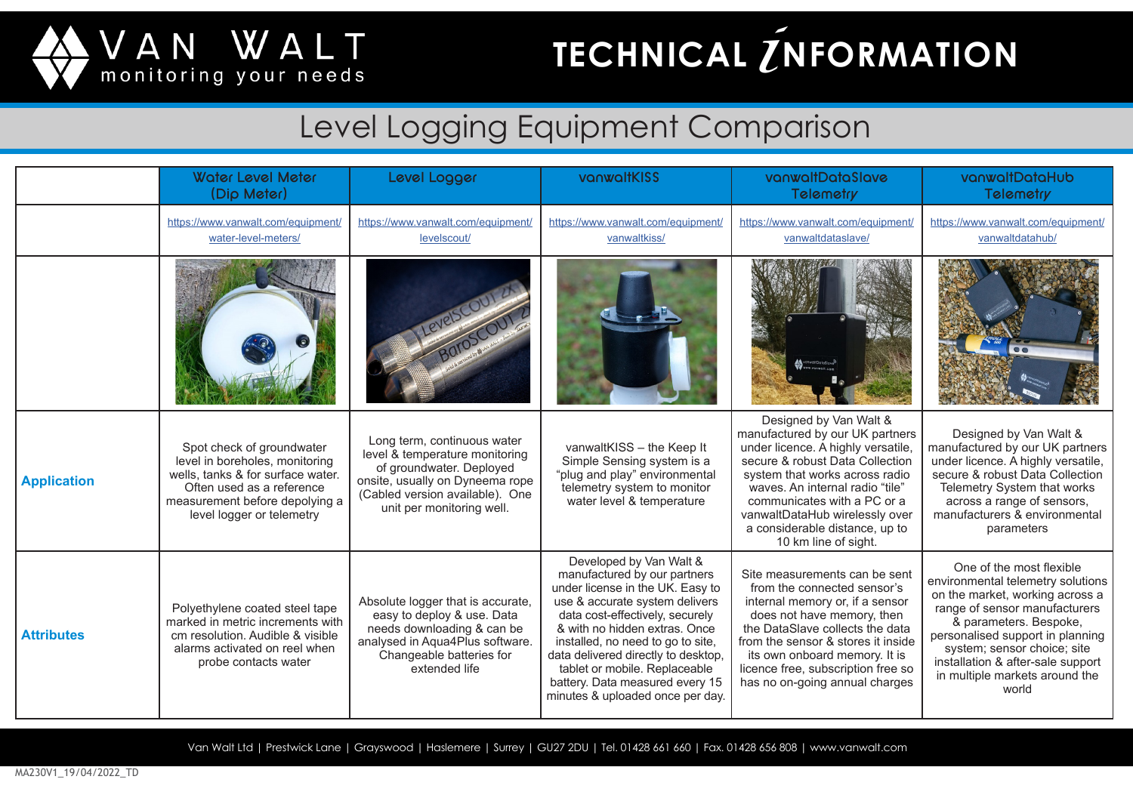

### **TECHNICAL** *Z***NFORMATION**

#### Level Logging Equipment Comparison

|                    | <b>Water Level Meter</b><br>(Dip Meter)                                                                                                                                                      | Level Logger                                                                                                                                                                                 | vanwaltKISS                                                                                                                                                                                                                                                                                                                                                                           | vanwaltDataSlave<br>Telemetry                                                                                                                                                                                                                                                                                                      | vanwaltDataHub<br>Telemetry                                                                                                                                                                                                                                                                                    |
|--------------------|----------------------------------------------------------------------------------------------------------------------------------------------------------------------------------------------|----------------------------------------------------------------------------------------------------------------------------------------------------------------------------------------------|---------------------------------------------------------------------------------------------------------------------------------------------------------------------------------------------------------------------------------------------------------------------------------------------------------------------------------------------------------------------------------------|------------------------------------------------------------------------------------------------------------------------------------------------------------------------------------------------------------------------------------------------------------------------------------------------------------------------------------|----------------------------------------------------------------------------------------------------------------------------------------------------------------------------------------------------------------------------------------------------------------------------------------------------------------|
|                    | https://www.vanwalt.com/equipment<br>water-level-meters/                                                                                                                                     | https://www.vanwalt.com/equipment/<br>levelscout/                                                                                                                                            | https://www.vanwalt.com/equipment/<br>vanwaltkiss/                                                                                                                                                                                                                                                                                                                                    | https://www.vanwalt.com/equipment/<br>vanwaltdataslave/                                                                                                                                                                                                                                                                            | https://www.vanwalt.com/equipment/<br>vanwaltdatahub/                                                                                                                                                                                                                                                          |
|                    |                                                                                                                                                                                              |                                                                                                                                                                                              |                                                                                                                                                                                                                                                                                                                                                                                       |                                                                                                                                                                                                                                                                                                                                    |                                                                                                                                                                                                                                                                                                                |
| <b>Application</b> | Spot check of groundwater<br>level in boreholes, monitoring<br>wells, tanks & for surface water.<br>Often used as a reference<br>measurement before depolying a<br>level logger or telemetry | Long term, continuous water<br>level & temperature monitoring<br>of groundwater. Deployed<br>onsite, usually on Dyneema rope<br>(Cabled version available). One<br>unit per monitoring well. | vanwaltKISS - the Keep It<br>Simple Sensing system is a<br>"plug and play" environmental<br>telemetry system to monitor<br>water level & temperature                                                                                                                                                                                                                                  | Designed by Van Walt &<br>manufactured by our UK partners<br>under licence. A highly versatile,<br>secure & robust Data Collection<br>system that works across radio<br>waves. An internal radio "tile"<br>communicates with a PC or a<br>vanwaltDataHub wirelessly over<br>a considerable distance, up to<br>10 km line of sight. | Designed by Van Walt &<br>manufactured by our UK partners<br>under licence. A highly versatile,<br>secure & robust Data Collection<br>Telemetry System that works<br>across a range of sensors,<br>manufacturers & environmental<br>parameters                                                                 |
| <b>Attributes</b>  | Polyethylene coated steel tape<br>marked in metric increments with<br>cm resolution. Audible & visible<br>alarms activated on reel when<br>probe contacts water                              | Absolute logger that is accurate,<br>easy to deploy & use. Data<br>needs downloading & can be<br>analysed in Aqua4Plus software.<br>Changeable batteries for<br>extended life                | Developed by Van Walt &<br>manufactured by our partners<br>under license in the UK. Easy to<br>use & accurate system delivers<br>data cost-effectively, securely<br>& with no hidden extras. Once<br>installed, no need to go to site,<br>data delivered directly to desktop,<br>tablet or mobile. Replaceable<br>battery. Data measured every 15<br>minutes & uploaded once per day. | Site measurements can be sent<br>from the connected sensor's<br>internal memory or, if a sensor<br>does not have memory, then<br>the DataSlave collects the data<br>from the sensor & stores it inside<br>its own onboard memory. It is<br>licence free, subscription free so<br>has no on-going annual charges                    | One of the most flexible<br>environmental telemetry solutions<br>on the market, working across a<br>range of sensor manufacturers<br>& parameters. Bespoke,<br>personalised support in planning<br>system; sensor choice; site<br>installation & after-sale support<br>in multiple markets around the<br>world |

Van Walt Ltd | Prestwick Lane | Grayswood | Haslemere | Surrey | GU27 2DU | Tel. 01428 661 660 | Fax. 01428 656 808 | www.vanwalt.com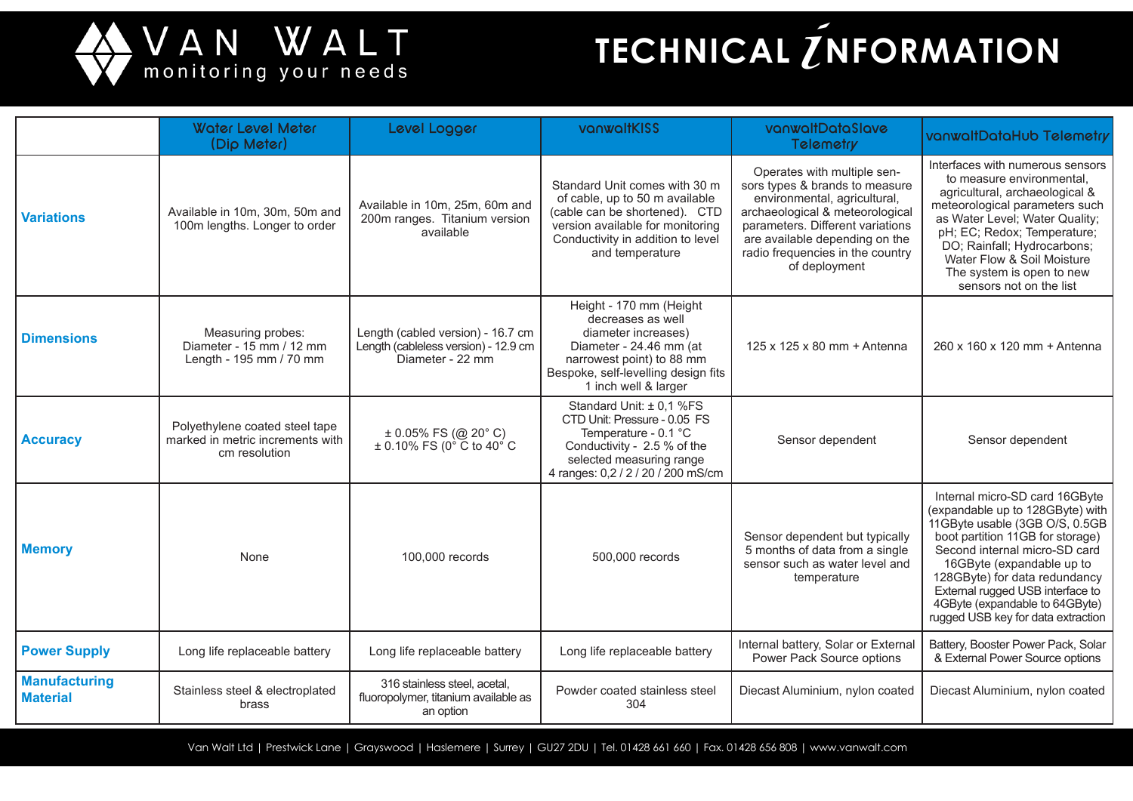

## **TECHNICAL** *I*NFORMATION

|                                         | <b>Water Level Meter</b><br>(Dip Meter)                                             | Level Logger                                                                                  | vanwaltKISS                                                                                                                                                                                  | vanwaltDataSlave<br>Telemetry                                                                                                                                                                                                                               | vanwaltDataHub Telemetry                                                                                                                                                                                                                                                                                                                            |
|-----------------------------------------|-------------------------------------------------------------------------------------|-----------------------------------------------------------------------------------------------|----------------------------------------------------------------------------------------------------------------------------------------------------------------------------------------------|-------------------------------------------------------------------------------------------------------------------------------------------------------------------------------------------------------------------------------------------------------------|-----------------------------------------------------------------------------------------------------------------------------------------------------------------------------------------------------------------------------------------------------------------------------------------------------------------------------------------------------|
| <b>Variations</b>                       | Available in 10m, 30m, 50m and<br>100m lengths. Longer to order                     | Available in 10m, 25m, 60m and<br>200m ranges. Titanium version<br>available                  | Standard Unit comes with 30 m<br>of cable, up to 50 m available<br>(cable can be shortened). CTD<br>version available for monitoring<br>Conductivity in addition to level<br>and temperature | Operates with multiple sen-<br>sors types & brands to measure<br>environmental, agricultural,<br>archaeological & meteorological<br>parameters. Different variations<br>are available depending on the<br>radio frequencies in the country<br>of deployment | Interfaces with numerous sensors<br>to measure environmental,<br>agricultural, archaeological &<br>meteorological parameters such<br>as Water Level; Water Quality;<br>pH; EC; Redox; Temperature;<br>DO; Rainfall; Hydrocarbons;<br>Water Flow & Soil Moisture<br>The system is open to new<br>sensors not on the list                             |
| <b>Dimensions</b>                       | Measuring probes:<br>Diameter - 15 mm / 12 mm<br>Length - 195 mm / 70 mm            | Length (cabled version) - 16.7 cm<br>Length (cableless version) - 12.9 cm<br>Diameter - 22 mm | Height - 170 mm (Height<br>decreases as well<br>diameter increases)<br>Diameter - 24.46 mm (at<br>narrowest point) to 88 mm<br>Bespoke, self-levelling design fits<br>1 inch well & larger   | 125 x 125 x 80 mm + Antenna                                                                                                                                                                                                                                 | 260 x 160 x 120 mm + Antenna                                                                                                                                                                                                                                                                                                                        |
| <b>Accuracy</b>                         | Polyethylene coated steel tape<br>marked in metric increments with<br>cm resolution | $\pm$ 0.05% FS (@ 20° C)<br>$\pm$ 0.10% FS (0 $^{\circ}$ C to 40 $^{\circ}$ C                 | Standard Unit: ± 0,1 %FS<br>CTD Unit: Pressure - 0.05 FS<br>Temperature - 0.1 °C<br>Conductivity - 2.5 % of the<br>selected measuring range<br>4 ranges: 0,2 / 2 / 20 / 200 mS/cm            | Sensor dependent                                                                                                                                                                                                                                            | Sensor dependent                                                                                                                                                                                                                                                                                                                                    |
| <b>Memory</b>                           | None                                                                                | 100,000 records                                                                               | 500,000 records                                                                                                                                                                              | Sensor dependent but typically<br>5 months of data from a single<br>sensor such as water level and<br>temperature                                                                                                                                           | Internal micro-SD card 16GByte<br>(expandable up to 128GByte) with<br>11GByte usable (3GB O/S, 0.5GB<br>boot partition 11GB for storage)<br>Second internal micro-SD card<br>16GByte (expandable up to<br>128GByte) for data redundancy<br>External rugged USB interface to<br>4GByte (expandable to 64GByte)<br>rugged USB key for data extraction |
| <b>Power Supply</b>                     | Long life replaceable battery                                                       | Long life replaceable battery                                                                 | Long life replaceable battery                                                                                                                                                                | Internal battery, Solar or External<br>Power Pack Source options                                                                                                                                                                                            | Battery, Booster Power Pack, Solar<br>& External Power Source options                                                                                                                                                                                                                                                                               |
| <b>Manufacturing</b><br><b>Material</b> | Stainless steel & electroplated<br>brass                                            | 316 stainless steel, acetal,<br>fluoropolymer, titanium available as<br>an option             | Powder coated stainless steel<br>304                                                                                                                                                         | Diecast Aluminium, nylon coated                                                                                                                                                                                                                             | Diecast Aluminium, nylon coated                                                                                                                                                                                                                                                                                                                     |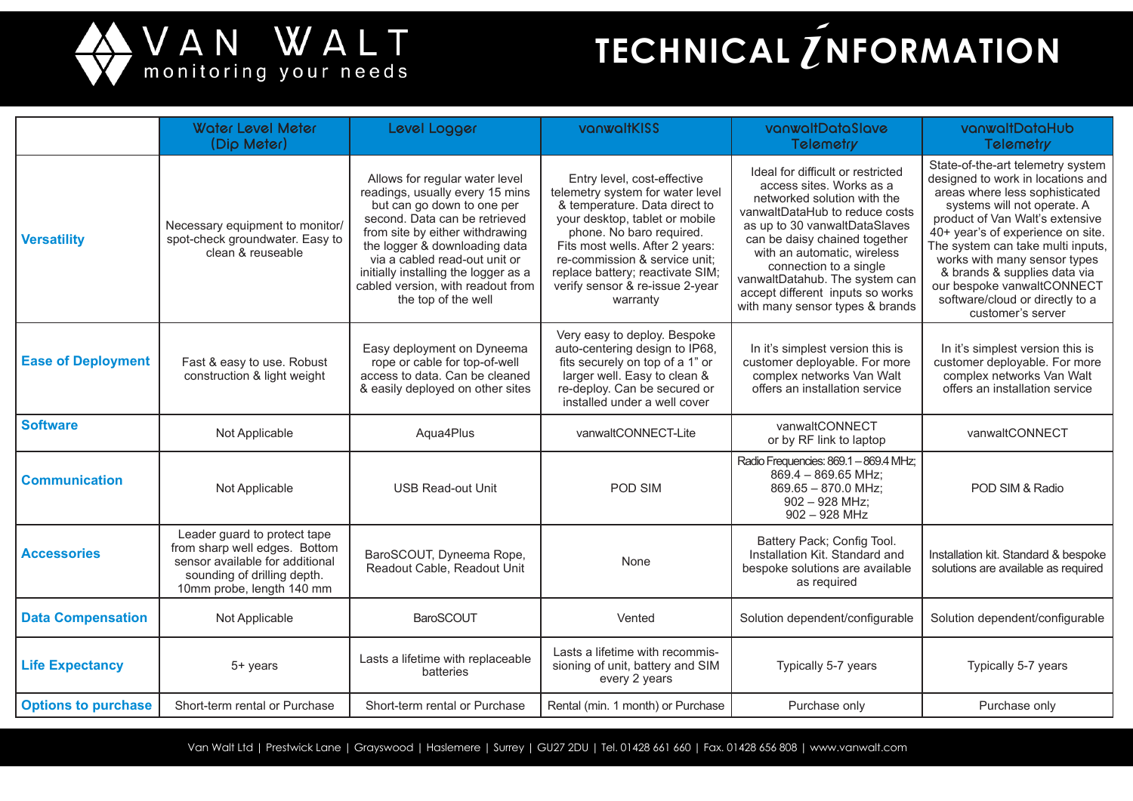

# **TECHNICAL** *L* **NFORMATION**

|                            | <b>Water Level Meter</b><br>(Dip Meter)                                                                                                                      | Level Logger                                                                                                                                                                                                                                                                                                                              | vanwaltKISS                                                                                                                                                                                                                                                                                                           | vanwaltDataSlave<br><b>Telemetry</b>                                                                                                                                                                                                                                                                                                                               | vanwaltDataHub<br><b>Telemetry</b>                                                                                                                                                                                                                                                                                                                                                                         |
|----------------------------|--------------------------------------------------------------------------------------------------------------------------------------------------------------|-------------------------------------------------------------------------------------------------------------------------------------------------------------------------------------------------------------------------------------------------------------------------------------------------------------------------------------------|-----------------------------------------------------------------------------------------------------------------------------------------------------------------------------------------------------------------------------------------------------------------------------------------------------------------------|--------------------------------------------------------------------------------------------------------------------------------------------------------------------------------------------------------------------------------------------------------------------------------------------------------------------------------------------------------------------|------------------------------------------------------------------------------------------------------------------------------------------------------------------------------------------------------------------------------------------------------------------------------------------------------------------------------------------------------------------------------------------------------------|
| <b>Versatility</b>         | Necessary equipment to monitor/<br>spot-check groundwater. Easy to<br>clean & reuseable                                                                      | Allows for regular water level<br>readings, usually every 15 mins<br>but can go down to one per<br>second. Data can be retrieved<br>from site by either withdrawing<br>the logger & downloading data<br>via a cabled read-out unit or<br>initially installing the logger as a<br>cabled version, with readout from<br>the top of the well | Entry level, cost-effective<br>telemetry system for water level<br>& temperature. Data direct to<br>your desktop, tablet or mobile<br>phone. No baro required.<br>Fits most wells. After 2 years:<br>re-commission & service unit;<br>replace battery; reactivate SIM;<br>verify sensor & re-issue 2-year<br>warranty | Ideal for difficult or restricted<br>access sites. Works as a<br>networked solution with the<br>vanwaltDataHub to reduce costs<br>as up to 30 vanwaltDataSlaves<br>can be daisy chained together<br>with an automatic, wireless<br>connection to a single<br>vanwaltDatahub. The system can<br>accept different inputs so works<br>with many sensor types & brands | State-of-the-art telemetry system<br>designed to work in locations and<br>areas where less sophisticated<br>systems will not operate. A<br>product of Van Walt's extensive<br>40+ year's of experience on site.<br>The system can take multi inputs,<br>works with many sensor types<br>& brands & supplies data via<br>our bespoke vanwaltCONNECT<br>software/cloud or directly to a<br>customer's server |
| <b>Ease of Deployment</b>  | Fast & easy to use. Robust<br>construction & light weight                                                                                                    | Easy deployment on Dyneema<br>rope or cable for top-of-well<br>access to data. Can be cleaned<br>& easily deployed on other sites                                                                                                                                                                                                         | Very easy to deploy. Bespoke<br>auto-centering design to IP68,<br>fits securely on top of a 1" or<br>larger well. Easy to clean &<br>re-deploy. Can be secured or<br>installed under a well cover                                                                                                                     | In it's simplest version this is<br>customer deployable. For more<br>complex networks Van Walt<br>offers an installation service                                                                                                                                                                                                                                   | In it's simplest version this is<br>customer deployable. For more<br>complex networks Van Walt<br>offers an installation service                                                                                                                                                                                                                                                                           |
| <b>Software</b>            | Not Applicable                                                                                                                                               | Aqua4Plus                                                                                                                                                                                                                                                                                                                                 | vanwaltCONNECT-Lite                                                                                                                                                                                                                                                                                                   | vanwaltCONNECT<br>or by RF link to laptop                                                                                                                                                                                                                                                                                                                          | vanwaltCONNECT                                                                                                                                                                                                                                                                                                                                                                                             |
| <b>Communication</b>       | Not Applicable                                                                                                                                               | <b>USB Read-out Unit</b>                                                                                                                                                                                                                                                                                                                  | POD SIM                                                                                                                                                                                                                                                                                                               | Radio Frequencies: 869.1 - 869.4 MHz;<br>869.4 - 869.65 MHz;<br>869.65 - 870.0 MHz;<br>$902 - 928$ MHz;<br>$902 - 928$ MHz                                                                                                                                                                                                                                         | POD SIM & Radio                                                                                                                                                                                                                                                                                                                                                                                            |
| <b>Accessories</b>         | Leader guard to protect tape<br>from sharp well edges. Bottom<br>sensor available for additional<br>sounding of drilling depth.<br>10mm probe, length 140 mm | BaroSCOUT, Dyneema Rope,<br>Readout Cable, Readout Unit                                                                                                                                                                                                                                                                                   | None                                                                                                                                                                                                                                                                                                                  | Battery Pack; Config Tool.<br>Installation Kit. Standard and<br>bespoke solutions are available<br>as required                                                                                                                                                                                                                                                     | Installation kit. Standard & bespoke<br>solutions are available as required                                                                                                                                                                                                                                                                                                                                |
| <b>Data Compensation</b>   | Not Applicable                                                                                                                                               | <b>BaroSCOUT</b>                                                                                                                                                                                                                                                                                                                          | Vented                                                                                                                                                                                                                                                                                                                | Solution dependent/configurable                                                                                                                                                                                                                                                                                                                                    | Solution dependent/configurable                                                                                                                                                                                                                                                                                                                                                                            |
| <b>Life Expectancy</b>     | 5+ years                                                                                                                                                     | Lasts a lifetime with replaceable<br>batteries                                                                                                                                                                                                                                                                                            | Lasts a lifetime with recommis-<br>sioning of unit, battery and SIM<br>every 2 years                                                                                                                                                                                                                                  | Typically 5-7 years                                                                                                                                                                                                                                                                                                                                                | Typically 5-7 years                                                                                                                                                                                                                                                                                                                                                                                        |
| <b>Options to purchase</b> | Short-term rental or Purchase                                                                                                                                | Short-term rental or Purchase                                                                                                                                                                                                                                                                                                             | Rental (min. 1 month) or Purchase                                                                                                                                                                                                                                                                                     | Purchase only                                                                                                                                                                                                                                                                                                                                                      | Purchase only                                                                                                                                                                                                                                                                                                                                                                                              |

Van Walt Ltd | Prestwick Lane | Grayswood | Haslemere | Surrey | GU27 2DU | Tel. 01428 661 660 | Fax. 01428 656 808 | www.vanwalt.com